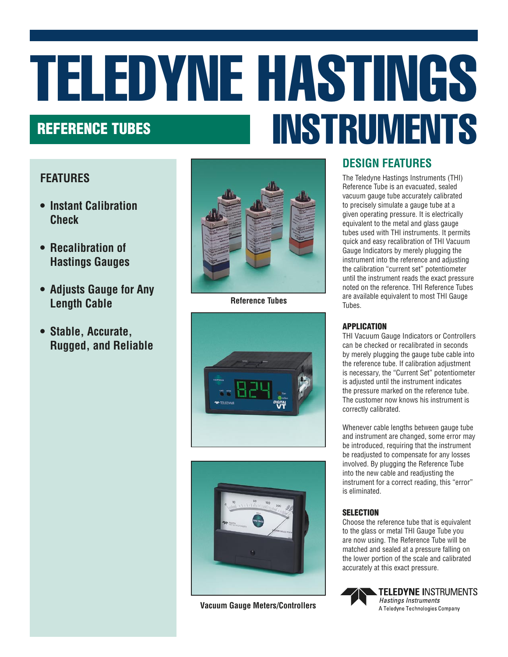# TELEDYNE HASTINGS REFERENCE TUBES AND THE REFERENCE TUBES

## **FEATURES**

- **• Instant Calibration Check**
- **• Recalibration of Hastings Gauges**
- **• Adjusts Gauge for Any Length Cable**
- **• Stable, Accurate, Rugged, and Reliable**



**Reference Tubes**





**Vacuum Gauge Meters/Controllers**

# **DESIGN FEATURES**

The Teledyne Hastings Instruments (THI) Reference Tube is an evacuated, sealed vacuum gauge tube accurately calibrated to precisely simulate a gauge tube at a given operating pressure. It is electrically equivalent to the metal and glass gauge tubes used with THI instruments. It permits quick and easy recalibration of THI Vacuum Gauge Indicators by merely plugging the instrument into the reference and adjusting the calibration "current set" potentiometer until the instrument reads the exact pressure noted on the reference. THI Reference Tubes are available equivalent to most THI Gauge Tubes.

### APPLICATION

THI Vacuum Gauge Indicators or Controllers can be checked or recalibrated in seconds by merely plugging the gauge tube cable into the reference tube. If calibration adjustment is necessary, the "Current Set" potentiometer is adjusted until the instrument indicates the pressure marked on the reference tube. The customer now knows his instrument is correctly calibrated.

Whenever cable lengths between gauge tube and instrument are changed, some error may be introduced, requiring that the instrument be readjusted to compensate for any losses involved. By plugging the Reference Tube into the new cable and readjusting the instrument for a correct reading, this "error" is eliminated.

### **SELECTION**

Choose the reference tube that is equivalent to the glass or metal THI Gauge Tube you are now using. The Reference Tube will be matched and sealed at a pressure falling on the lower portion of the scale and calibrated accurately at this exact pressure.



**TELEDYNE INSTRUMENTS Hastings Instruments** A Teledyne Technologies Company